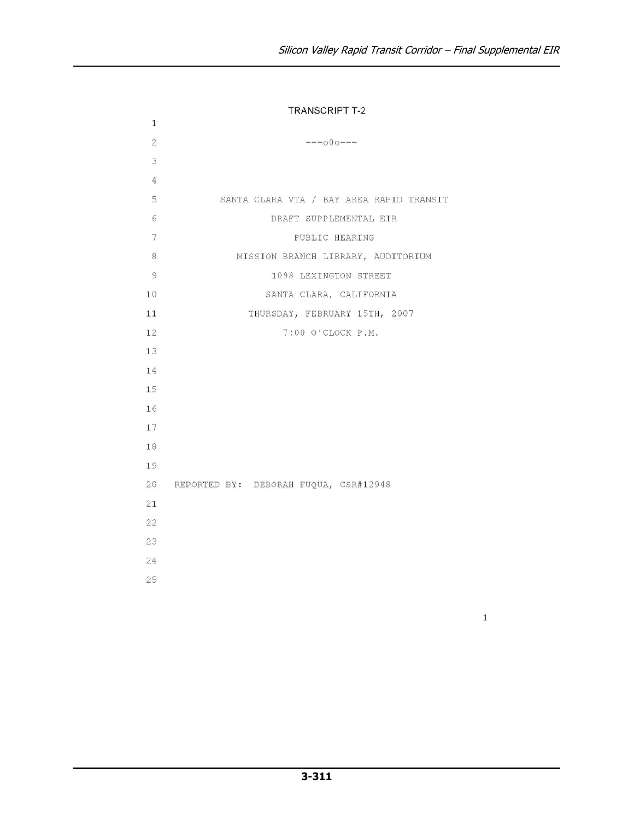#### **TRANSCRIPT T-2**

 $1\,$ 

| $\overline{2}$ | $---000---$                              |
|----------------|------------------------------------------|
| 3              |                                          |
| 4              |                                          |
| 5              | SANTA CLARA VTA / BAY AREA RAPID TRANSIT |
| 6              | DRAFT SUPPLEMENTAL EIR                   |
| 7              | PUBLIC HEARING                           |
| 8              | MISSION BRANCH LIBRARY, AUDITORIUM       |
| 9              | 1098 LEXINGTON STREET                    |
| 10             | SANTA CLARA, CALIFORNIA                  |
| 11             | THURSDAY, FEBRUARY 15TH, 2007            |
| 12             | $7:00$ O'CLOCK P.M.                      |
| 13             |                                          |
| 14             |                                          |
| 15             |                                          |
| 16             |                                          |
| 17             |                                          |
| 18             |                                          |
| 19             |                                          |
|                | 20 REPORTED BY: DEBORAH FUQUA, CSR#12948 |
| 21             |                                          |
| 22             |                                          |
| 23             |                                          |
| 24             |                                          |
| 25             |                                          |
|                |                                          |

 $\,1$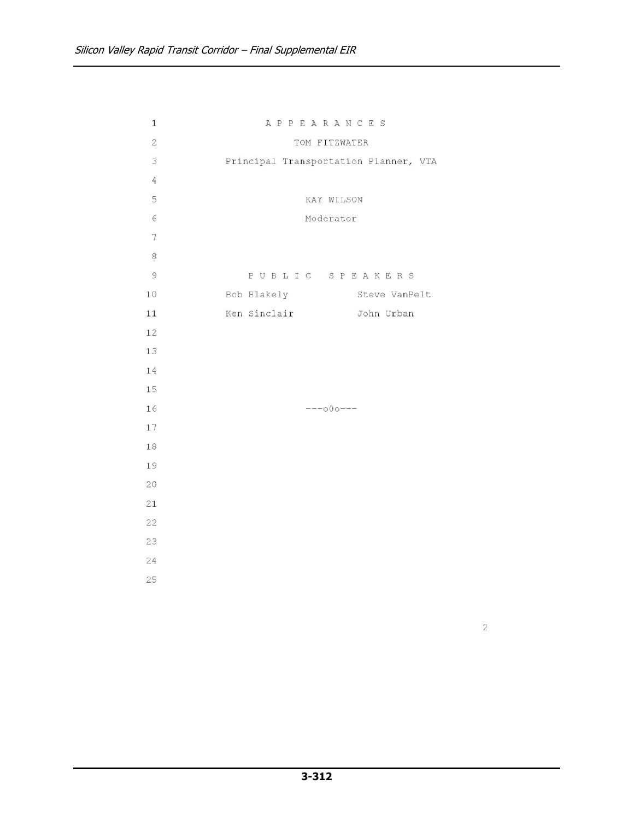| $\mathbf{1}$   | APPEARANCES                           |
|----------------|---------------------------------------|
| $\overline{2}$ | TOM FITZWATER                         |
| 3              | Principal Transportation Planner, VTA |
| $\overline{4}$ |                                       |
| 5              | KAY WILSON                            |
| 6              | Moderator                             |
| 7              |                                       |
| $\,8\,$        |                                       |
| $\mathcal G$   | PUBLIC SPEAKERS                       |
| 10             | Bob Blakely Steve VanPelt             |
| $11\,$         | Ken Sinclair - John Urban             |
| 12             |                                       |
| 13             |                                       |
| 14             |                                       |
| 15             |                                       |
| 16             | $---000---$                           |
| 17             |                                       |
| $1\,8$         |                                       |
| 19             |                                       |
| 20             |                                       |
| 21             |                                       |
| 22             |                                       |
| 23             |                                       |
| 24             |                                       |
| 25             |                                       |
|                |                                       |

 $\sqrt{2}$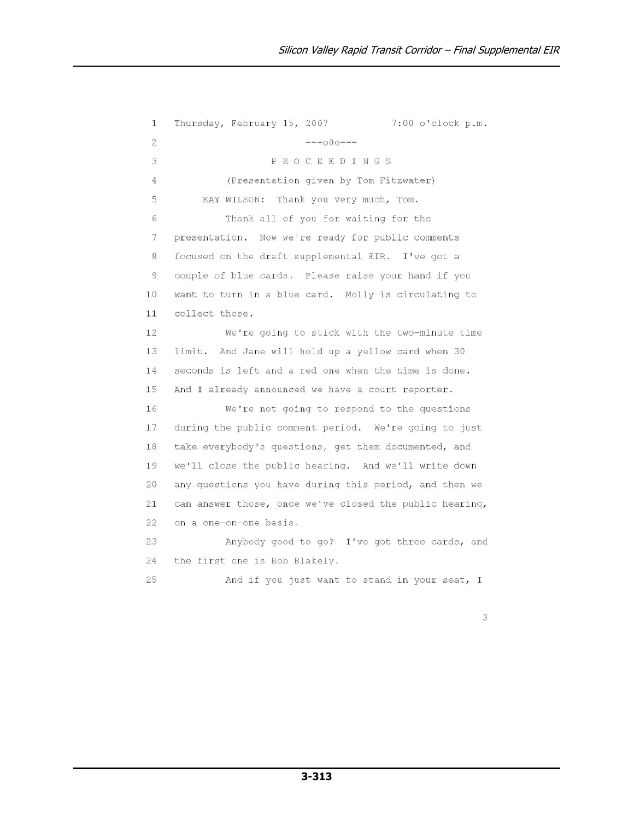Thursday, February 15, 2007 7:00 o'clock p.m.  $\mathbf{1}$  $\overline{2}$  $---000---$ 3 PROCEEDINGS (Presentation given by Tom Fitzwater)  $\overline{4}$ 5 KAY WILSON: Thank you very much, Tom. 6 Thank all of you for waiting for the  $\overline{7}$ presentation. Now we're ready for public comments 8 focused on the draft supplemental EIR. I've got a  $\overline{9}$ couple of blue cards. Please raise your hand if you want to turn in a blue card. Molly is circulating to 10  $11$ collect those. We're going to stick with the two-minute time 12 13 limit. And Jane will hold up a yellow card when 30 14 seconds is left and a red one when the time is done. And I already announced we have a court reporter. 15 16 We're not going to respond to the questions 17 during the public comment period. We're going to just 18 take everybody's questions, get them documented, and 19 we'll close the public hearing. And we'll write down 20 any questions you have during this period, and then we can answer those, once we've closed the public hearing, 21 22 on a one-on-one basis. 23 Anybody good to go? I've got three cards, and 24 the first one is Bob Blakely. 25 And if you just want to stand in your seat, I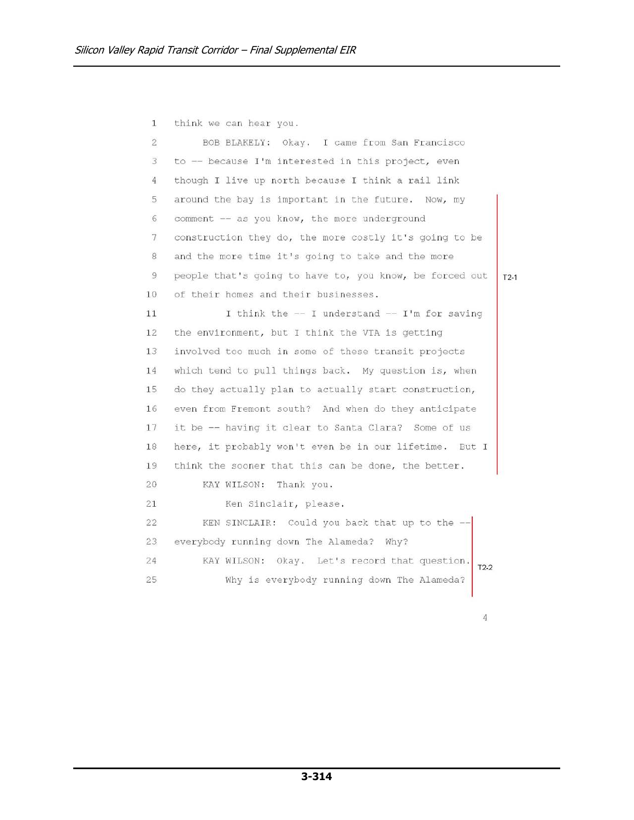think we can hear you.  $\mathbf{1}$  $\overline{2}$ BOB BLAKELY: Okay. I came from San Francisco 3 to -- because I'm interested in this project, even though I live up north because I think a rail link  $\overline{4}$ 5 around the bay is important in the future. Now, my comment -- as you know, the more underground 6  $7\phantom{.0}$ construction they do, the more costly it's going to be  $8\phantom{.}$ and the more time it's going to take and the more  $\overline{9}$ people that's going to have to, you know, be forced out  $T2-1$ of their homes and their businesses.  $10$ I think the  $-$  I understand  $-$  I'm for saving 11 the environment, but I think the VTA is getting 12 13 involved too much in some of these transit projects which tend to pull things back. My question is, when 14 15 do they actually plan to actually start construction, 16 even from Fremont south? And when do they anticipate  $17$ it be -- having it clear to Santa Clara? Some of us 18 here, it probably won't even be in our lifetime. But I 19 think the sooner that this can be done, the better.  $20$ KAY WILSON: Thank you. Ken Sinclair, please. 21 22 KEN SINCLAIR: Could you back that up to the --23 everybody running down The Alameda? Why? KAY WILSON: Okay. Let's record that question. T2-2 24 25 Why is everybody running down The Alameda?

 $\overline{4}$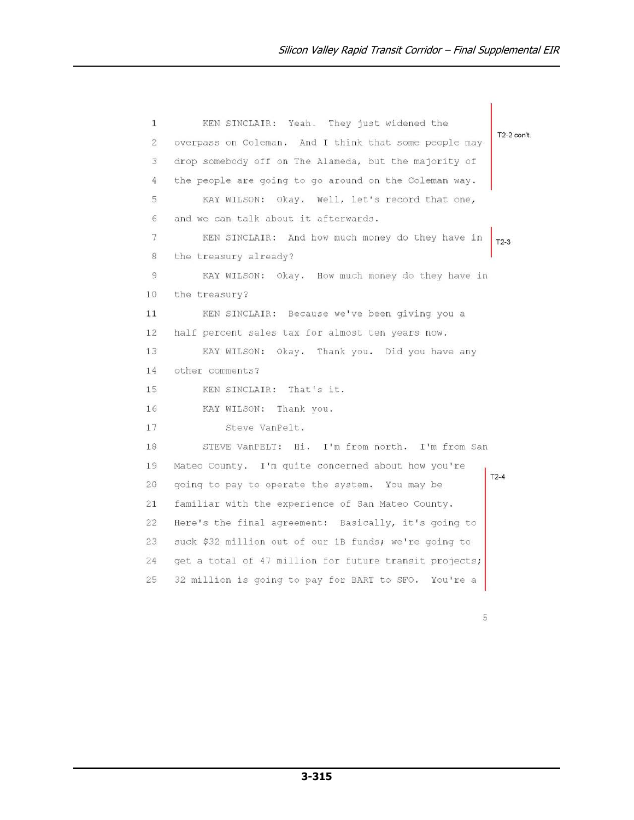```
KEN SINCLAIR: Yeah. They just widened the
 \mathbf{1}T2-2 con't.
 \overline{2}overpass on Coleman. And I think that some people may
     drop somebody off on The Alameda, but the majority of
 \overline{3}\overline{4}the people are going to go around on the Coleman way.
 5
          KAY WILSON: Okay. Well, let's record that one,
     and we can talk about it afterwards.
 6\overline{7}KEN SINCLAIR: And how much money do they have in
                                                               T2-3\, 8 \,the treasury already?
 \overline{9}KAY WILSON: Okay. How much money do they have in
10the treasury?
          KEN SINCLAIR: Because we've been giving you a
11half percent sales tax for almost ten years now.
12
13
          KAY WILSON: Okay. Thank you. Did you have any
14
     other comments?
15
          KEN SINCLAIR: That's it.
16
          KAY WILSON: Thank you.
17
              Steve VanPelt.
18
          STEVE VanPELT: Hi. I'm from north. I'm from San
19
     Mateo County. I'm quite concerned about how you're
                                                               T2-420going to pay to operate the system. You may be
21familiar with the experience of San Mateo County.
22^{1}Here's the final agreement: Basically, it's going to
23
     suck $32 million out of our 1B funds; we're going to
24
     get a total of 47 million for future transit projects;
25
     32 million is going to pay for BART to SFO. You're a
```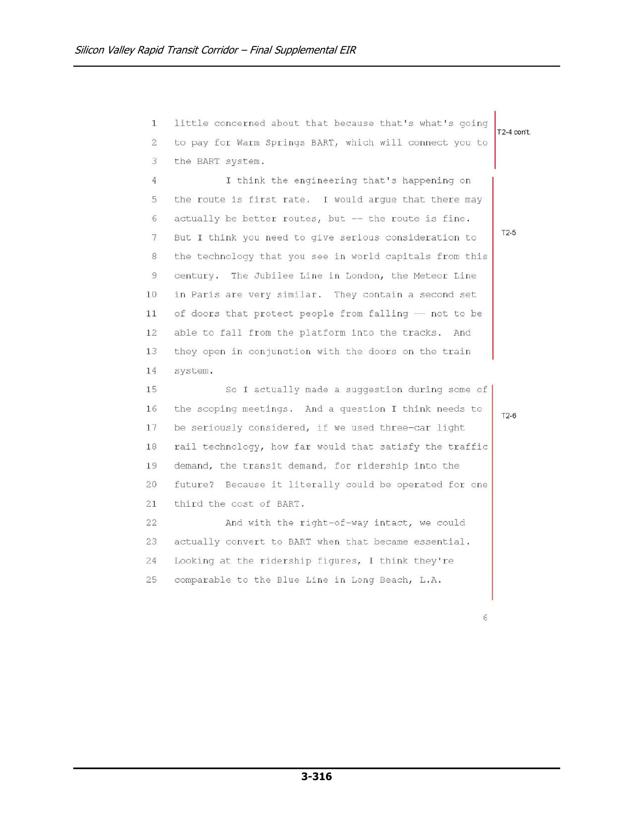| $\mathbf{1}$ | little concerned about that because that's what's going | T2-4 con't. |
|--------------|---------------------------------------------------------|-------------|
| $\mathbf{2}$ | to pay for Warm Springs BART, which will connect you to |             |
| 3            | the BART system.                                        |             |
| 4            | I think the engineering that's happening on             |             |
| 5            | the route is first rate. I would argue that there may   |             |
| 6            | actually be better routes, but -- the route is fine.    |             |
| 7            | But I think you need to give serious consideration to   | $T2-5$      |
| 8            | the technology that you see in world capitals from this |             |
| 9            | century. The Jubilee Line in London, the Meteor Line    |             |
| 10           | in Paris are very similar. They contain a second set    |             |
| 11           | of doors that protect people from falling -- not to be  |             |
| 12           | able to fall from the platform into the tracks.<br>And  |             |
| 13           | they open in conjunction with the doors on the train    |             |
| 14           | system.                                                 |             |
| 15           | So I actually made a suggestion during some of          |             |
| 16           | the scoping meetings. And a question I think needs to   | $T2-6$      |
| 17           | be seriously considered, if we used three-car light     |             |
| 18           | rail technology, how far would that satisfy the traffic |             |
| 19           | demand, the transit demand, for ridership into the      |             |
| 20           | future? Because it literally could be operated for one  |             |
| 21           | third the cost of BART.                                 |             |
| $22^{1}$     | And with the right-of-way intact, we could              |             |
| 23           | actually convert to BART when that became essential.    |             |
| 24           | Looking at the ridership figures, I think they're       |             |
| 25           | comparable to the Blue Line in Long Beach, L.A.         |             |
|              |                                                         |             |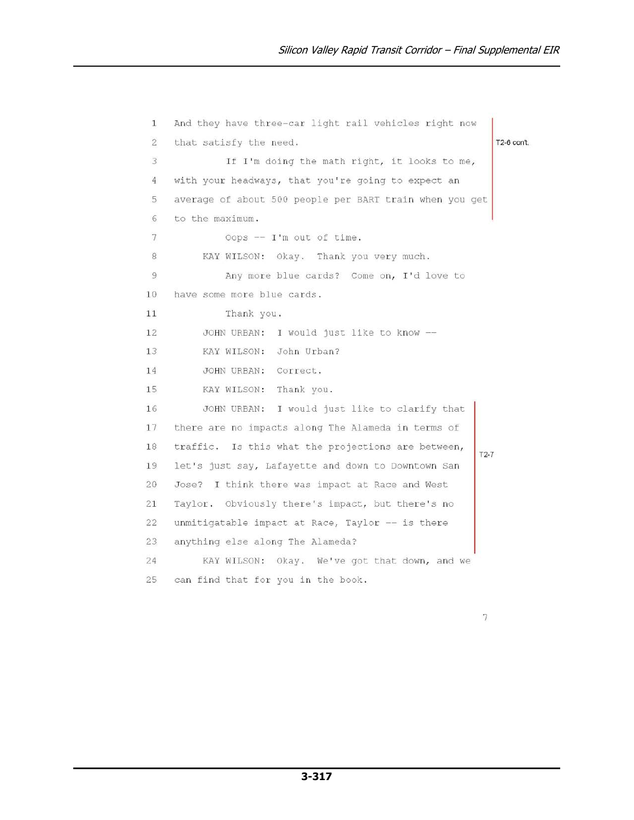```
And they have three-car light rail vehicles right now
 \mathbf{1}\overline{2}that satisfy the need.
                                                                 T2-6 con't.
 \overline{3}If I'm doing the math right, it looks to me,
     with your headways, that you're going to expect an
 \overline{4}5
     average of about 500 people per BART train when you get
 \sqrt{6}to the maximum.
 \overline{7}Oops -- I'm out of time.
 8
          KAY WILSON: Okay. Thank you very much.
 9
              Any more blue cards? Come on, I'd love to
     have some more blue cards.
1011Thank you.
12JOHN URBAN: I would just like to know --
          KAY WILSON: John Urban?
13
14
          JOHN URBAN: Correct.
15
          KAY WILSON: Thank you.
16
          JOHN URBAN: I would just like to clarify that
17
     there are no impacts along The Alameda in terms of
18
     traffic. Is this what the projections are between,
                                                             T2-719
     let's just say, Lafayette and down to Downtown San
20Jose? I think there was impact at Race and West
21
     Taylor. Obviously there's impact, but there's no
22^{1}unmitigatable impact at Race, Taylor -- is there
23
     anything else along The Alameda?
24
          KAY WILSON: Okay. We've got that down, and we
25
     can find that for you in the book.
```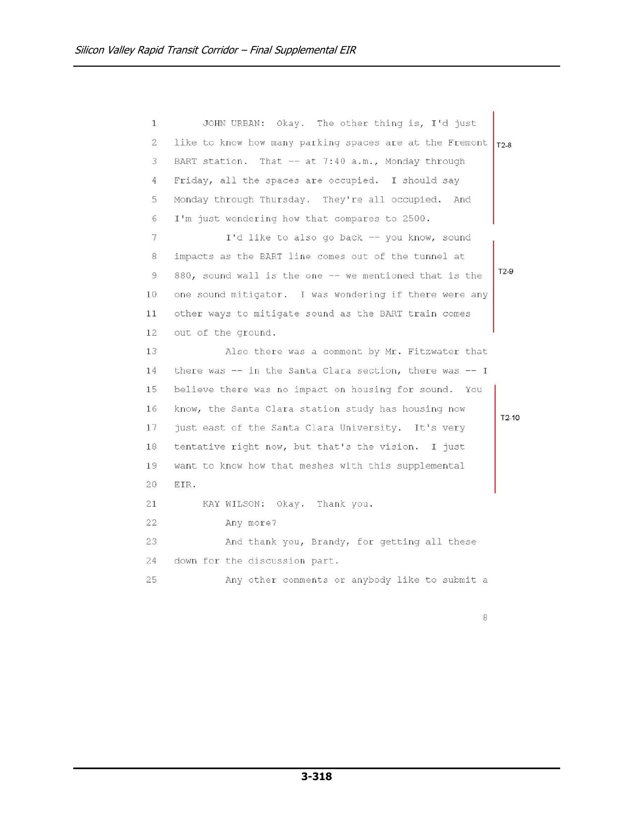JOHN URBAN: Okay. The other thing is, I'd just  $\mathbf{1}$  $\overline{2}$ like to know how many parking spaces are at the Fremont  $T2-8$ 3 BART station. That -- at 7:40 a.m., Monday through Friday, all the spaces are occupied. I should say  $\overline{4}$ 5 Monday through Thursday. They're all occupied. And I'm just wondering how that compares to 2500. 6  $\overline{7}$ I'd like to also go back -- you know, sound 8 impacts as the BART line comes out of the tunnel at  $T2-9$  $\overline{9}$ 880, sound wall is the one -- we mentioned that is the 10 one sound mitigator. I was wondering if there were any other ways to mitigate sound as the BART train comes  $11$ 12 out of the ground. 13 Also there was a comment by Mr. Fitzwater that there was -- in the Santa Clara section, there was -- I 14 15 believe there was no impact on housing for sound. You 16 know, the Santa Clara station study has housing now  $T2-10$ 17 just east of the Santa Clara University. It's very 18 tentative right now, but that's the vision. I just 19 want to know how that meshes with this supplemental  $20$ EIR.  $21$ KAY WILSON: Okay. Thank you. 22 Any more? 23 And thank you, Brandy, for getting all these 24 down for the discussion part. 25 Any other comments or anybody like to submit a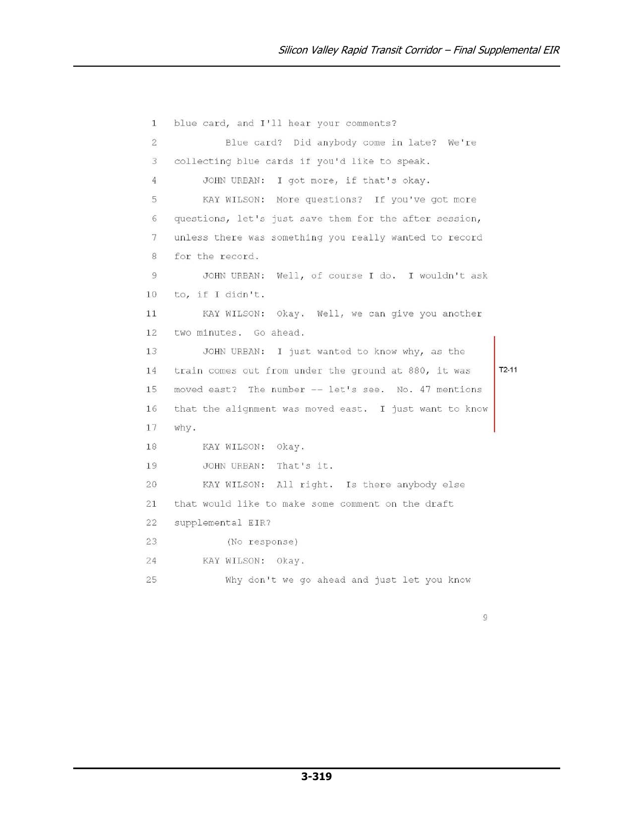```
blue card, and I'll hear your comments?
 \mathbf{1}\overline{2}Blue card? Did anybody come in late? We're
 \overline{3}collecting blue cards if you'd like to speak.
          JOHN URBAN: I got more, if that's okay.
 \overline{4}5
          KAY WILSON: More questions? If you've got more
     questions, let's just save them for the after session,
 6\overline{7}unless there was something you really wanted to record
 8
     for the record.
 \overline{9}JOHN URBAN: Well, of course I do. I wouldn't ask
     to, if I didn't.
10KAY WILSON: Okay. Well, we can give you another
1112two minutes. Go ahead.
          JOHN URBAN: I just wanted to know why, as the
13
                                                                T2-1114
     train comes out from under the ground at 880, it was
     moved east? The number -- let's see. No. 47 mentions
15
16
     that the alignment was moved east. I just want to know
17
     why.
18
         KAY WILSON: Okay.
19
          JOHN URBAN: That's it.
20KAY WILSON: All right. Is there anybody else
21that would like to make some comment on the draft
22^{1}supplemental EIR?
23
              (No response)
24
          KAY WILSON: Okay.
25
              Why don't we go ahead and just let you know
```
 $\overline{9}$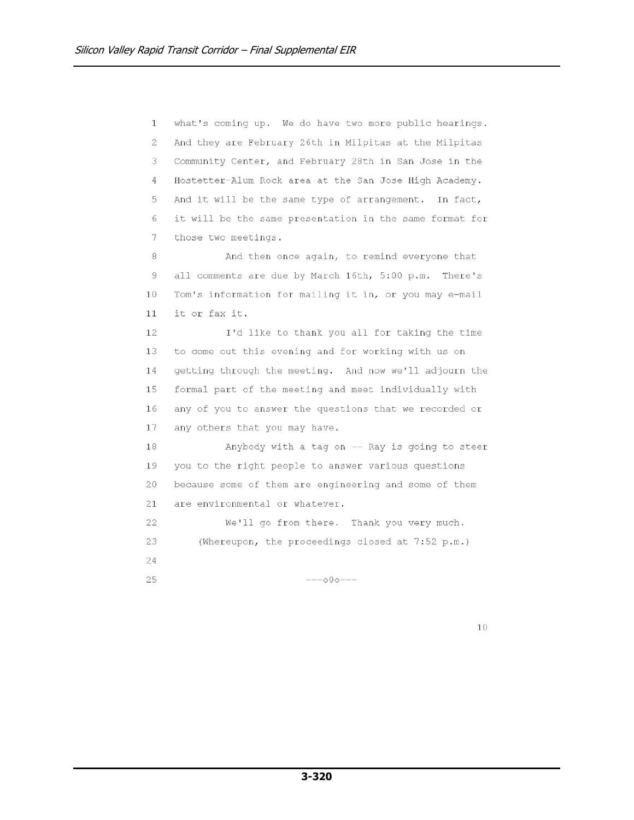what's coming up. We do have two more public hearings.  $\mathbf{1}$  $\overline{2}$ And they are February 26th in Milpitas at the Milpitas 3 Community Center, and February 28th in San Jose in the Hostetter-Alum Rock area at the San Jose High Academy.  $\overline{4}$ 5 And it will be the same type of arrangement. In fact, it will be the same presentation in the same format for 6  $\overline{7}$ those two meetings. 8 And then once again, to remind everyone that  $\overline{9}$ all comments are due by March 16th, 5:00 p.m. There's Tom's information for mailing it in, or you may e-mail 10 it or fax it. 11 I'd like to thank you all for taking the time 12 13 to come out this evening and for working with us on getting through the meeting. And now we'll adjourn the 14 15 formal part of the meeting and meet individually with 16 any of you to answer the questions that we recorded or 17 any others that you may have. Anybody with a tag on -- Ray is going to steer 18 19 you to the right people to answer various questions because some of them are engineering and some of them 20 are environmental or whatever. 21 22 We'll go from there. Thank you very much. 23 (Whereupon, the proceedings closed at 7:52 p.m.) 24 25  $---000---$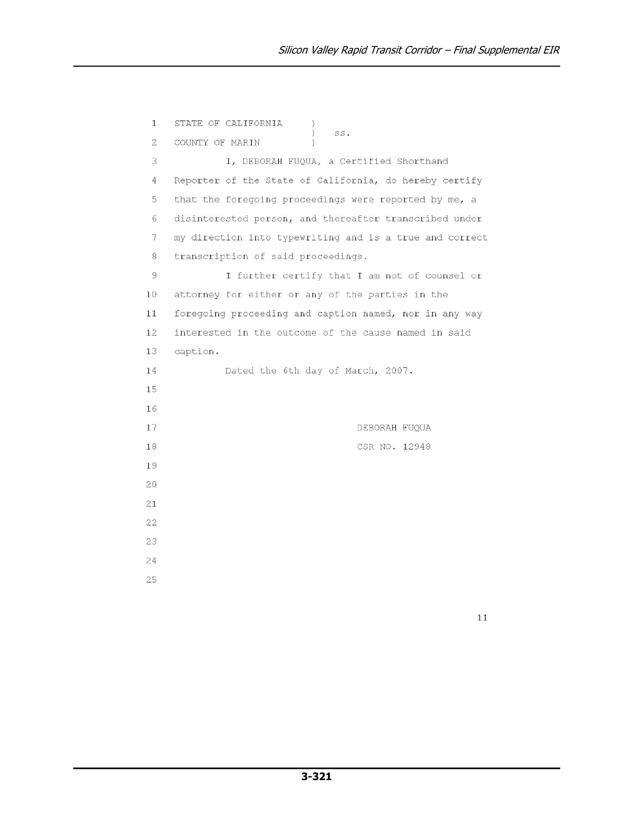| 1  | STATE OF CALIFORNIA<br>$\mathcal{Y}$                    |
|----|---------------------------------------------------------|
| 2  | $\mathcal{C}$<br>SS.<br>COUNTY OF MARIN                 |
| 3  | I, DEBORAH FUQUA, a Certified Shorthand                 |
| 4  | Reporter of the State of California, do hereby certify  |
| 5  | that the foregoing proceedings were reported by me, a   |
| 6  | disinterested person, and thereafter transcribed under  |
| 7  | my direction into typewriting and is a true and correct |
| 8  | transcription of said proceedings.                      |
| 9  | I further certify that I am not of counsel or           |
| 10 | attorney for either or any of the parties in the        |
| 11 | foregoing proceeding and caption named, nor in any way  |
| 12 | interested in the outcome of the cause named in said    |
| 13 | caption.                                                |
| 14 | Dated the 6th day of March, 2007.                       |
| 15 |                                                         |
| 16 |                                                         |
| 17 | DEBORAH FUQUA                                           |
| 18 | CSR NO. 12948                                           |
| 19 |                                                         |
| 20 |                                                         |
| 21 |                                                         |
| 22 |                                                         |
| 23 |                                                         |
| 24 |                                                         |
| 25 |                                                         |
|    |                                                         |

 $11\,$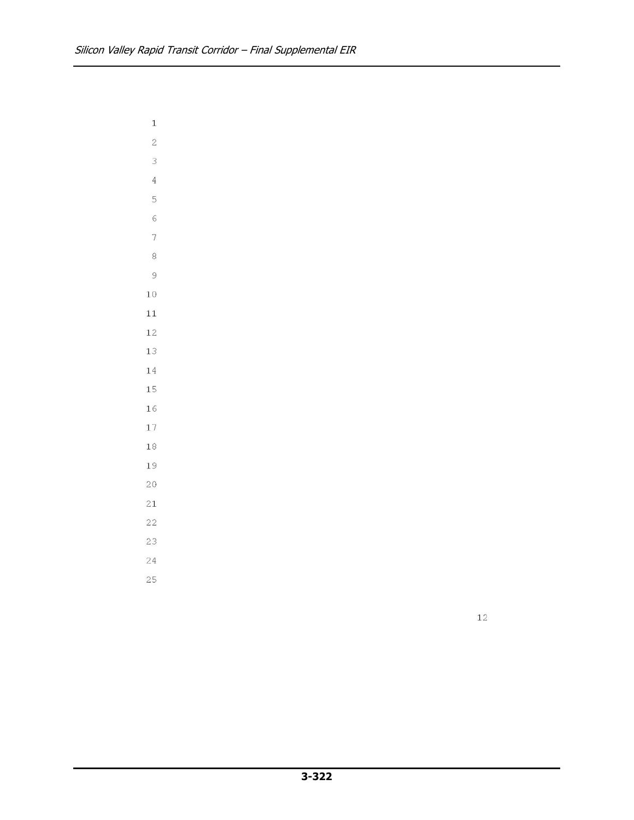$\,1\,$  $\bar{2}$  $\overline{3}$  $\overline{4}$ 5 6  $\overline{7}$  $\,8\,$  $\mathcal G$ 10  $11\,$ 12 13 14 15 16 17  $1\,8$ 19  $20\,$ 21  $22$ 23 24

25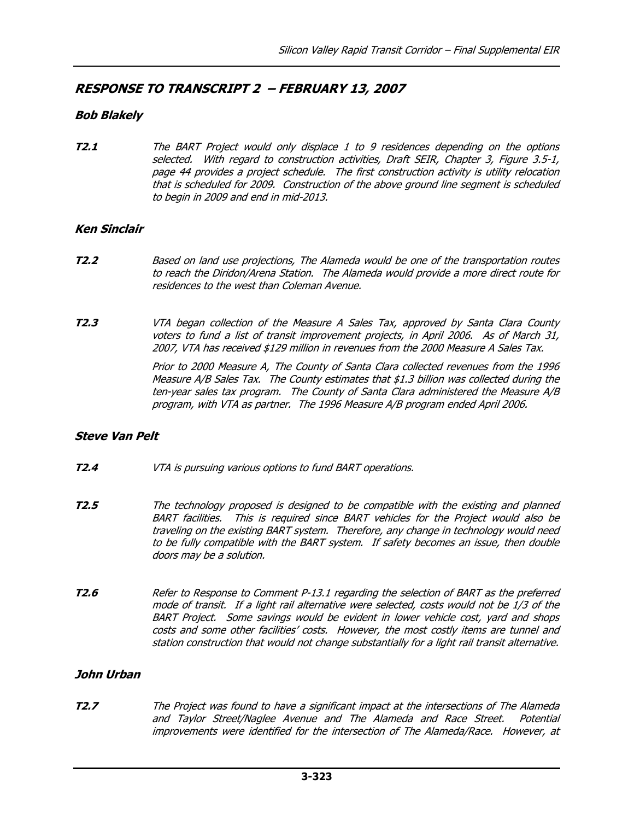# RESPONSE TO TRANSCRIPT 2 – FEBRUARY 13, 2007

# Bob Blakely

T2.1 The BART Project would only displace 1 to 9 residences depending on the options selected. With regard to construction activities, Draft SEIR, Chapter 3, Figure 3.5-1, page 44 provides a project schedule. The first construction activity is utility relocation that is scheduled for 2009. Construction of the above ground line segment is scheduled to begin in 2009 and end in mid-2013.

# Ken Sinclair

- T2.2 Based on land use projections, The Alameda would be one of the transportation routes to reach the Diridon/Arena Station. The Alameda would provide a more direct route for residences to the west than Coleman Avenue.
- **T2.3** VTA began collection of the Measure A Sales Tax, approved by Santa Clara County voters to fund a list of transit improvement projects, in April 2006. As of March 31, 2007, VTA has received \$129 million in revenues from the 2000 Measure A Sales Tax.

 Prior to 2000 Measure A, The County of Santa Clara collected revenues from the 1996 Measure A/B Sales Tax. The County estimates that \$1.3 billion was collected during the ten-year sales tax program. The County of Santa Clara administered the Measure A/B program, with VTA as partner. The 1996 Measure A/B program ended April 2006.

### Steve Van Pelt

- T2.4 VTA is pursuing various options to fund BART operations.
- **T2.5** The technology proposed is designed to be compatible with the existing and planned BART facilities. This is required since BART vehicles for the Project would also be traveling on the existing BART system. Therefore, any change in technology would need to be fully compatible with the BART system. If safety becomes an issue, then double doors may be a solution.
- **T2.6** Refer to Response to Comment P-13.1 regarding the selection of BART as the preferred mode of transit. If a light rail alternative were selected, costs would not be 1/3 of the BART Project. Some savings would be evident in lower vehicle cost, yard and shops costs and some other facilities' costs. However, the most costly items are tunnel and station construction that would not change substantially for a light rail transit alternative.

### John Urban

**T2.7** The Project was found to have a significant impact at the intersections of The Alameda and Taylor Street/Naglee Avenue and The Alameda and Race Street. Potential improvements were identified for the intersection of The Alameda/Race. However, at